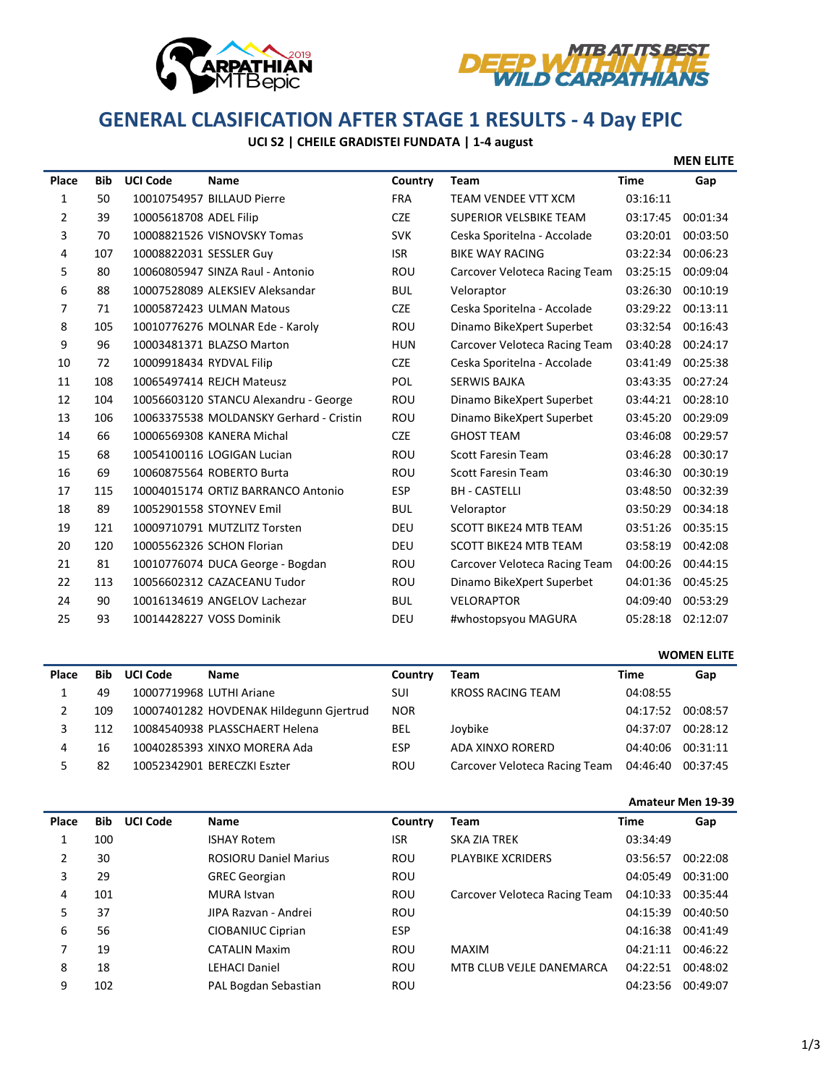



## **GENERAL CLASIFICATION AFTER STAGE 1 RESULTS - 4 Day EPIC**

## **UCI S2 | CHEILE GRADISTEI FUNDATA | 1-4 august**

|  | <b>MEN ELITE</b> |
|--|------------------|
|--|------------------|

| Place          | <b>Bib</b> | <b>UCI Code</b>          | <b>Name</b>                             | Country    | Team                          | <b>Time</b> | Gap      |
|----------------|------------|--------------------------|-----------------------------------------|------------|-------------------------------|-------------|----------|
| 1              | 50         |                          | 10010754957 BILLAUD Pierre              | <b>FRA</b> | TEAM VENDEE VTT XCM           | 03:16:11    |          |
| 2              | 39         | 10005618708 ADEL Filip   |                                         | <b>CZE</b> | SUPERIOR VELSBIKE TEAM        | 03:17:45    | 00:01:34 |
| 3              | 70         |                          | 10008821526 VISNOVSKY Tomas             | <b>SVK</b> | Ceska Sporitelna - Accolade   | 03:20:01    | 00:03:50 |
| 4              | 107        | 10008822031 SESSLER Guy  |                                         | <b>ISR</b> | <b>BIKE WAY RACING</b>        | 03:22:34    | 00:06:23 |
| 5              | 80         |                          | 10060805947 SINZA Raul - Antonio        | <b>ROU</b> | Carcover Veloteca Racing Team | 03:25:15    | 00:09:04 |
| 6              | 88         |                          | 10007528089 ALEKSIEV Aleksandar         | <b>BUL</b> | Veloraptor                    | 03:26:30    | 00:10:19 |
| $\overline{7}$ | 71         |                          | 10005872423 ULMAN Matous                | <b>CZE</b> | Ceska Sporitelna - Accolade   | 03:29:22    | 00:13:11 |
| 8              | 105        |                          | 10010776276 MOLNAR Ede - Karoly         | ROU        | Dinamo BikeXpert Superbet     | 03:32:54    | 00:16:43 |
| 9              | 96         |                          | 10003481371 BLAZSO Marton               | <b>HUN</b> | Carcover Veloteca Racing Team | 03:40:28    | 00:24:17 |
| 10             | 72         | 10009918434 RYDVAL Filip |                                         | <b>CZE</b> | Ceska Sporitelna - Accolade   | 03:41:49    | 00:25:38 |
| 11             | 108        |                          | 10065497414 REJCH Mateusz               | POL        | <b>SERWIS BAJKA</b>           | 03:43:35    | 00:27:24 |
| 12             | 104        |                          | 10056603120 STANCU Alexandru - George   | <b>ROU</b> | Dinamo BikeXpert Superbet     | 03:44:21    | 00:28:10 |
| 13             | 106        |                          | 10063375538 MOLDANSKY Gerhard - Cristin | ROU        | Dinamo BikeXpert Superbet     | 03:45:20    | 00:29:09 |
| 14             | 66         |                          | 10006569308 KANERA Michal               | <b>CZE</b> | <b>GHOST TEAM</b>             | 03:46:08    | 00:29:57 |
| 15             | 68         |                          | 10054100116 LOGIGAN Lucian              | <b>ROU</b> | <b>Scott Faresin Team</b>     | 03:46:28    | 00:30:17 |
| 16             | 69         |                          | 10060875564 ROBERTO Burta               | <b>ROU</b> | <b>Scott Faresin Team</b>     | 03:46:30    | 00:30:19 |
| 17             | 115        |                          | 10004015174 ORTIZ BARRANCO Antonio      | <b>ESP</b> | <b>BH - CASTELLI</b>          | 03:48:50    | 00:32:39 |
| 18             | 89         |                          | 10052901558 STOYNEV Emil                | <b>BUL</b> | Veloraptor                    | 03:50:29    | 00:34:18 |
| 19             | 121        |                          | 10009710791 MUTZLITZ Torsten            | <b>DEU</b> | <b>SCOTT BIKE24 MTB TEAM</b>  | 03:51:26    | 00:35:15 |
| 20             | 120        |                          | 10005562326 SCHON Florian               | <b>DEU</b> | <b>SCOTT BIKE24 MTB TEAM</b>  | 03:58:19    | 00:42:08 |
| 21             | 81         |                          | 10010776074 DUCA George - Bogdan        | ROU        | Carcover Veloteca Racing Team | 04:00:26    | 00:44:15 |
| 22             | 113        |                          | 10056602312 CAZACEANU Tudor             | <b>ROU</b> | Dinamo BikeXpert Superbet     | 04:01:36    | 00:45:25 |
| 24             | 90         |                          | 10016134619 ANGELOV Lachezar            | <b>BUL</b> | <b>VELORAPTOR</b>             | 04:09:40    | 00:53:29 |
| 25             | 93         |                          | 10014428227 VOSS Dominik                | <b>DEU</b> | #whostopsyou MAGURA           | 05:28:18    | 02:12:07 |

|       |            |                 |                                         |            |                               |          | <b>WOMEN ELITE</b> |
|-------|------------|-----------------|-----------------------------------------|------------|-------------------------------|----------|--------------------|
| Place | <b>Bib</b> | <b>UCI Code</b> | <b>Name</b>                             | Country    | <b>Team</b>                   | Time     | Gap                |
|       | 49         |                 | 10007719968 LUTHI Ariane                | SUI        | KROSS RACING TEAM             | 04:08:55 |                    |
|       | 109        |                 | 10007401282 HOVDENAK Hildegunn Gjertrud | <b>NOR</b> |                               | 04:17:52 | 00:08:57           |
|       | 112        |                 | 10084540938 PLASSCHAERT Helena          | <b>BEL</b> | Joybike                       | 04:37:07 | 00:28:12           |
| 4     | 16         |                 | 10040285393 XINXO MORERA Ada            | <b>ESP</b> | ADA XINXO RORERD              | 04:40:06 | 00:31:11           |
|       | 82         |                 | 10052342901 BERECZKI Eszter             | ROU        | Carcover Veloteca Racing Team | 04:46:40 | 00:37:45           |

|       |     |                 |                              |            |                               | <b>Amateur Men 19-39</b> |          |
|-------|-----|-----------------|------------------------------|------------|-------------------------------|--------------------------|----------|
| Place | Bib | <b>UCI Code</b> | Name                         | Country    | Team                          | Time                     | Gap      |
|       | 100 |                 | <b>ISHAY Rotem</b>           | ISR        | <b>SKA ZIA TREK</b>           | 03:34:49                 |          |
| 2     | 30  |                 | <b>ROSIORU Daniel Marius</b> | ROU        | <b>PLAYBIKE XCRIDERS</b>      | 03:56:57                 | 00:22:08 |
| 3     | 29  |                 | <b>GREC Georgian</b>         | ROU        |                               | 04:05:49                 | 00:31:00 |
| 4     | 101 |                 | <b>MURA Istvan</b>           | ROU        | Carcover Veloteca Racing Team | 04:10:33                 | 00:35:44 |
| 5     | 37  |                 | JIPA Razvan - Andrei         | ROU        |                               | 04:15:39                 | 00:40:50 |
| 6     | 56  |                 | CIOBANIUC Ciprian            | <b>ESP</b> |                               | 04:16:38                 | 00:41:49 |
| 7     | 19  |                 | <b>CATALIN Maxim</b>         | ROU        | <b>MAXIM</b>                  | 04:21:11                 | 00:46:22 |
| 8     | 18  |                 | <b>LEHACI Daniel</b>         | ROU        | MTB CLUB VEJLE DANEMARCA      | 04:22:51                 | 00:48:02 |
| 9     | 102 |                 | PAL Bogdan Sebastian         | <b>ROU</b> |                               | 04:23:56                 | 00:49:07 |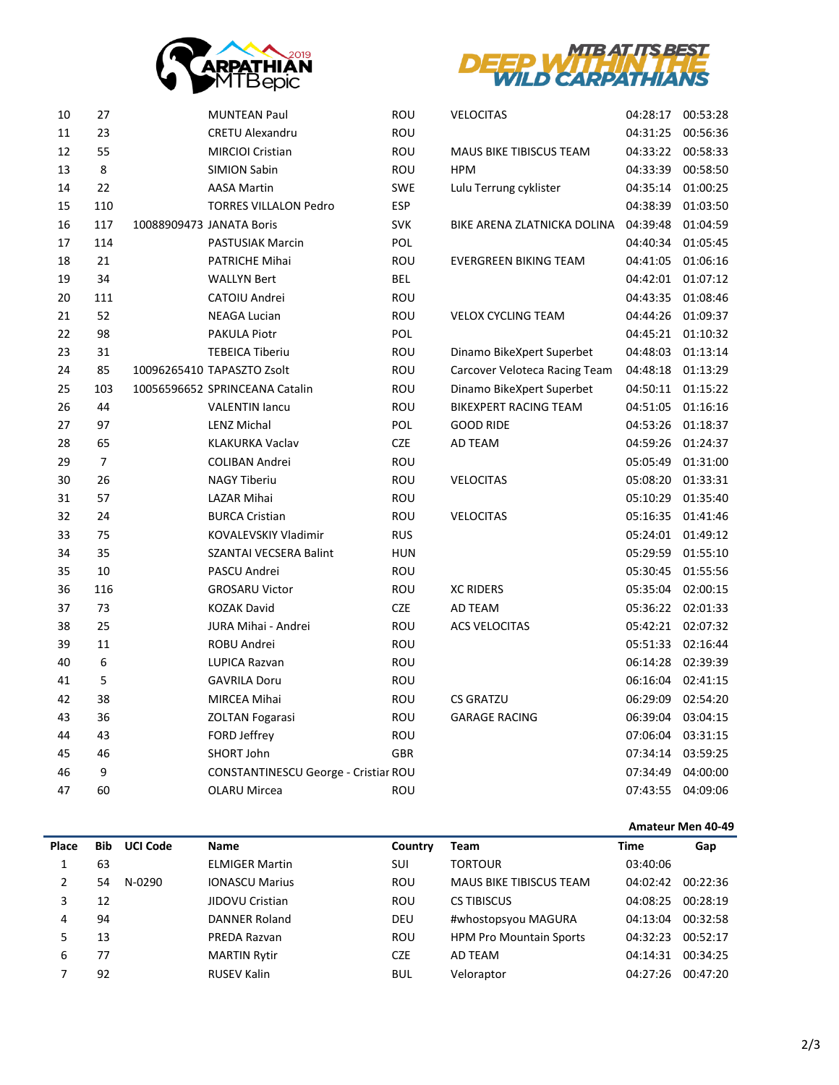



| 10 | 27             | <b>MUNTEAN Paul</b>                  | ROU        | <b>VELOCITAS</b>               | 04:28:17          | 00:53:28 |
|----|----------------|--------------------------------------|------------|--------------------------------|-------------------|----------|
| 11 | 23             | <b>CRETU Alexandru</b>               | ROU        |                                | 04:31:25          | 00:56:36 |
| 12 | 55             | <b>MIRCIOI Cristian</b>              | ROU        | <b>MAUS BIKE TIBISCUS TEAM</b> | 04:33:22          | 00:58:33 |
| 13 | 8              | <b>SIMION Sabin</b>                  | ROU        | <b>HPM</b>                     | 04:33:39          | 00:58:50 |
| 14 | 22             | <b>AASA Martin</b>                   | <b>SWE</b> | Lulu Terrung cyklister         | 04:35:14          | 01:00:25 |
| 15 | 110            | <b>TORRES VILLALON Pedro</b>         | <b>ESP</b> |                                | 04:38:39          | 01:03:50 |
| 16 | 117            | 10088909473 JANATA Boris             | <b>SVK</b> | BIKE ARENA ZLATNICKA DOLINA    | 04:39:48          | 01:04:59 |
| 17 | 114            | <b>PASTUSIAK Marcin</b>              | <b>POL</b> |                                | 04:40:34          | 01:05:45 |
| 18 | 21             | PATRICHE Mihai                       | ROU        | <b>EVERGREEN BIKING TEAM</b>   | 04:41:05          | 01:06:16 |
| 19 | 34             | <b>WALLYN Bert</b>                   | BEL        |                                | 04:42:01          | 01:07:12 |
| 20 | 111            | CATOIU Andrei                        | ROU        |                                | 04:43:35          | 01:08:46 |
| 21 | 52             | <b>NEAGA Lucian</b>                  | ROU        | <b>VELOX CYCLING TEAM</b>      | 04:44:26          | 01:09:37 |
| 22 | 98             | PAKULA Piotr                         | POL        |                                | 04:45:21 01:10:32 |          |
| 23 | 31             | <b>TEBEICA Tiberiu</b>               | ROU        | Dinamo BikeXpert Superbet      | 04:48:03          | 01:13:14 |
| 24 | 85             | 10096265410 TAPASZTO Zsolt           | ROU        | Carcover Veloteca Racing Team  | 04:48:18          | 01:13:29 |
| 25 | 103            | 10056596652 SPRINCEANA Catalin       | <b>ROU</b> | Dinamo BikeXpert Superbet      | 04:50:11 01:15:22 |          |
| 26 | 44             | <b>VALENTIN Jancu</b>                | ROU        | BIKEXPERT RACING TEAM          | 04:51:05          | 01:16:16 |
| 27 | 97             | LENZ Michal                          | POL        | <b>GOOD RIDE</b>               | 04:53:26          | 01:18:37 |
| 28 | 65             | KLAKURKA Vaclav                      | <b>CZE</b> | AD TEAM                        | 04:59:26          | 01:24:37 |
| 29 | $\overline{7}$ | COLIBAN Andrei                       | ROU        |                                | 05:05:49          | 01:31:00 |
| 30 | 26             | <b>NAGY Tiberiu</b>                  | ROU        | <b>VELOCITAS</b>               | 05:08:20          | 01:33:31 |
| 31 | 57             | <b>LAZAR Mihai</b>                   | ROU        |                                | 05:10:29          | 01:35:40 |
| 32 | 24             | <b>BURCA Cristian</b>                | ROU        | <b>VELOCITAS</b>               | 05:16:35          | 01:41:46 |
| 33 | 75             | <b>KOVALEVSKIY Vladimir</b>          | <b>RUS</b> |                                | 05:24:01          | 01:49:12 |
| 34 | 35             | SZANTAI VECSERA Balint               | HUN        |                                | 05:29:59          | 01:55:10 |
| 35 | 10             | PASCU Andrei                         | ROU        |                                | 05:30:45          | 01:55:56 |
| 36 | 116            | <b>GROSARU Victor</b>                | ROU        | <b>XC RIDERS</b>               | 05:35:04          | 02:00:15 |
| 37 | 73             | <b>KOZAK David</b>                   | <b>CZE</b> | AD TEAM                        | 05:36:22          | 02:01:33 |
| 38 | 25             | JURA Mihai - Andrei                  | ROU        | ACS VELOCITAS                  | 05:42:21          | 02:07:32 |
| 39 | 11             | <b>ROBU Andrei</b>                   | ROU        |                                | 05:51:33          | 02:16:44 |
| 40 | 6              | <b>LUPICA Razvan</b>                 | ROU        |                                | 06:14:28          | 02:39:39 |
| 41 | 5              | <b>GAVRILA Doru</b>                  | ROU        |                                | 06:16:04          | 02:41:15 |
| 42 | 38             | <b>MIRCEA Mihai</b>                  | <b>ROU</b> | <b>CS GRATZU</b>               | 06:29:09          | 02:54:20 |
| 43 | 36             | <b>ZOLTAN Fogarasi</b>               | ROU        | <b>GARAGE RACING</b>           | 06:39:04          | 03:04:15 |
| 44 | 43             | FORD Jeffrey                         | ROU        |                                | 07:06:04          | 03:31:15 |
| 45 | 46             | SHORT John                           | <b>GBR</b> |                                | 07:34:14          | 03:59:25 |
| 46 | 9              | CONSTANTINESCU George - Cristiar ROU |            |                                | 07:34:49          | 04:00:00 |
| 47 | 60             | <b>OLARU Mircea</b>                  | ROU        |                                | 07:43:55          | 04:09:06 |
|    |                |                                      |            |                                |                   |          |

|               |            |                 |                       |            |                                | Amateur Men 40-49 |          |
|---------------|------------|-----------------|-----------------------|------------|--------------------------------|-------------------|----------|
| Place         | <b>Bib</b> | <b>UCI Code</b> | <b>Name</b>           | Country    | <b>Team</b>                    | <b>Time</b>       | Gap      |
|               | 63         |                 | <b>ELMIGER Martin</b> | SUI        | <b>TORTOUR</b>                 | 03:40:06          |          |
| $\mathcal{P}$ | 54         | N-0290          | <b>IONASCU Marius</b> | <b>ROU</b> | <b>MAUS BIKE TIBISCUS TEAM</b> | 04:02:42          | 00:22:36 |
| 3             | 12         |                 | JIDOVU Cristian       | ROU        | <b>CS TIBISCUS</b>             | 04:08:25          | 00:28:19 |
| 4             | 94         |                 | DANNER Roland         | DEU        | #whostopsyou MAGURA            | 04:13:04          | 00:32:58 |
|               | 13         |                 | PREDA Razvan          | ROU        | <b>HPM Pro Mountain Sports</b> | 04:32:23          | 00:52:17 |
| 6             | 77         |                 | <b>MARTIN Rytir</b>   | <b>CZE</b> | AD TEAM                        | 04:14:31          | 00:34:25 |
|               | 92         |                 | <b>RUSEV Kalin</b>    | <b>BUL</b> | Veloraptor                     | 04:27:26          | 00:47:20 |